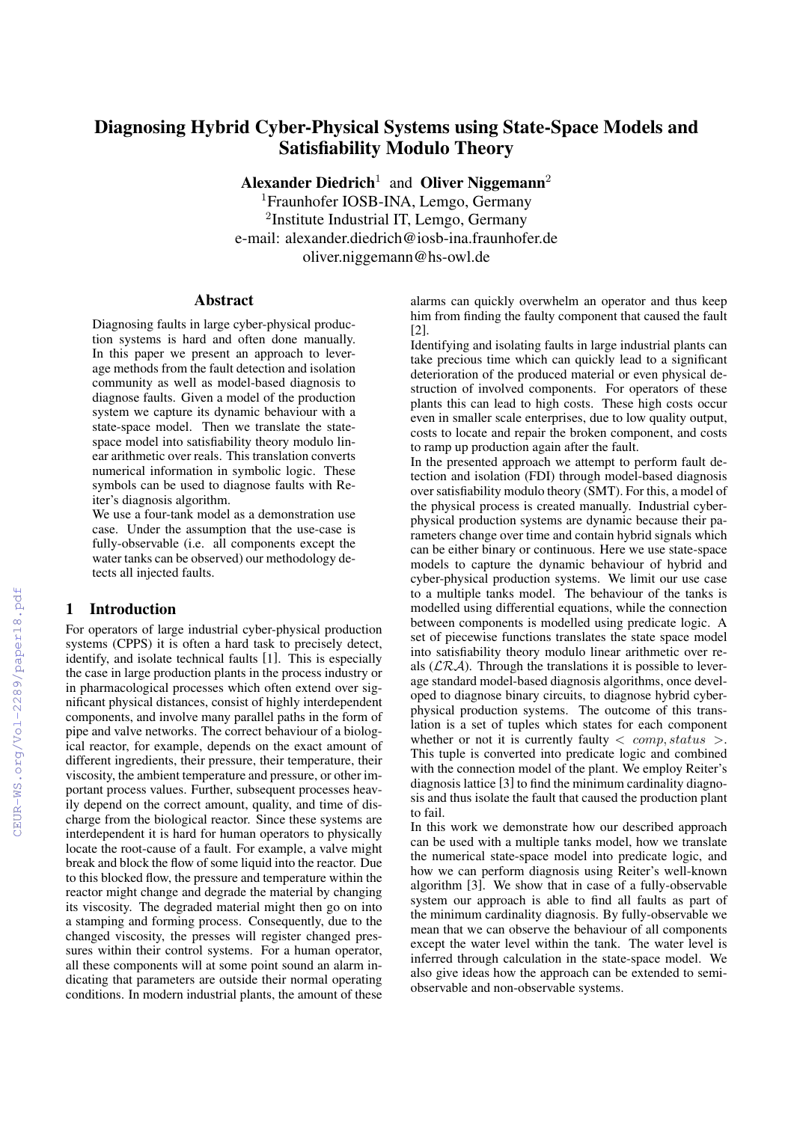# Diagnosing Hybrid Cyber-Physical Systems using State-Space Models and Satisfiability Modulo Theory

Alexander Diedrich<sup>1</sup> and Oliver Niggemann<sup>2</sup>

<sup>1</sup>Fraunhofer IOSB-INA, Lemgo, Germany <sup>2</sup>Institute Industrial IT, Lemgo, Germany e-mail: alexander.diedrich@iosb-ina.fraunhofer.de oliver.niggemann@hs-owl.de

## Abstract

Diagnosing faults in large cyber-physical production systems is hard and often done manually. In this paper we present an approach to leverage methods from the fault detection and isolation community as well as model-based diagnosis to diagnose faults. Given a model of the production system we capture its dynamic behaviour with a state-space model. Then we translate the statespace model into satisfiability theory modulo linear arithmetic over reals. This translation converts numerical information in symbolic logic. These symbols can be used to diagnose faults with Reiter's diagnosis algorithm.

We use a four-tank model as a demonstration use case. Under the assumption that the use-case is fully-observable (i.e. all components except the water tanks can be observed) our methodology detects all injected faults.

### 1 Introduction

For operators of large industrial cyber-physical production systems (CPPS) it is often a hard task to precisely detect, identify, and isolate technical faults [1]. This is especially the case in large production plants in the process industry or in pharmacological processes which often extend over significant physical distances, consist of highly interdependent components, and involve many parallel paths in the form of pipe and valve networks. The correct behaviour of a biological reactor, for example, depends on the exact amount of different ingredients, their pressure, their temperature, their viscosity, the ambient temperature and pressure, or other important process values. Further, subsequent processes heavily depend on the correct amount, quality, and time of discharge from the biological reactor. Since these systems are interdependent it is hard for human operators to physically locate the root-cause of a fault. For example, a valve might break and block the flow of some liquid into the reactor. Due to this blocked flow, the pressure and temperature within the reactor might change and degrade the material by changing its viscosity. The degraded material might then go on into a stamping and forming process. Consequently, due to the changed viscosity, the presses will register changed pressures within their control systems. For a human operator, all these components will at some point sound an alarm indicating that parameters are outside their normal operating conditions. In modern industrial plants, the amount of these

alarms can quickly overwhelm an operator and thus keep him from finding the faulty component that caused the fault [2].

Identifying and isolating faults in large industrial plants can take precious time which can quickly lead to a significant deterioration of the produced material or even physical destruction of involved components. For operators of these plants this can lead to high costs. These high costs occur even in smaller scale enterprises, due to low quality output, costs to locate and repair the broken component, and costs to ramp up production again after the fault.

In the presented approach we attempt to perform fault detection and isolation (FDI) through model-based diagnosis over satisfiability modulo theory (SMT). For this, a model of the physical process is created manually. Industrial cyberphysical production systems are dynamic because their parameters change over time and contain hybrid signals which can be either binary or continuous. Here we use state-space models to capture the dynamic behaviour of hybrid and cyber-physical production systems. We limit our use case to a multiple tanks model. The behaviour of the tanks is modelled using differential equations, while the connection between components is modelled using predicate logic. A set of piecewise functions translates the state space model into satisfiability theory modulo linear arithmetic over reals  $(\mathcal{LRA})$ . Through the translations it is possible to leverage standard model-based diagnosis algorithms, once developed to diagnose binary circuits, to diagnose hybrid cyberphysical production systems. The outcome of this translation is a set of tuples which states for each component whether or not it is currently faulty  $\langle comp, status \rangle$ . This tuple is converted into predicate logic and combined with the connection model of the plant. We employ Reiter's diagnosis lattice [3] to find the minimum cardinality diagnosis and thus isolate the fault that caused the production plant to fail.

In this work we demonstrate how our described approach can be used with a multiple tanks model, how we translate the numerical state-space model into predicate logic, and how we can perform diagnosis using Reiter's well-known algorithm [3]. We show that in case of a fully-observable system our approach is able to find all faults as part of the minimum cardinality diagnosis. By fully-observable we mean that we can observe the behaviour of all components except the water level within the tank. The water level is inferred through calculation in the state-space model. We also give ideas how the approach can be extended to semiobservable and non-observable systems.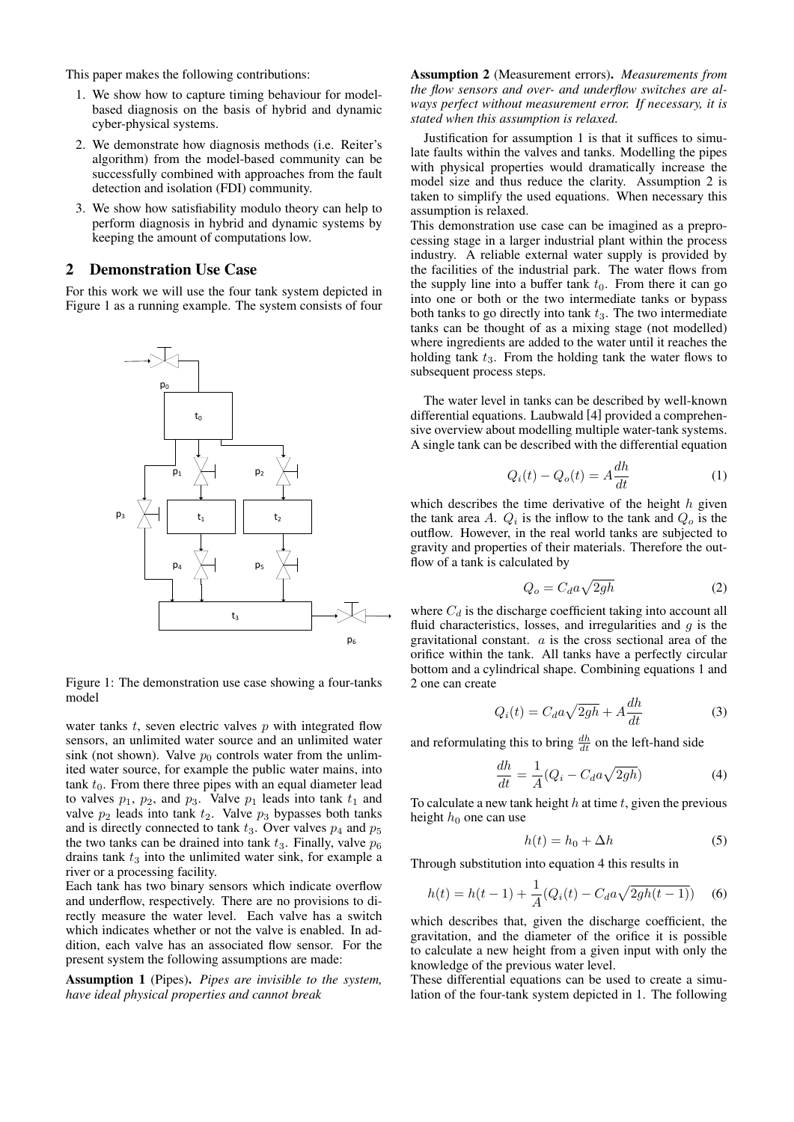This paper makes the following contributions:

- 1. We show how to capture timing behaviour for modelbased diagnosis on the basis of hybrid and dynamic cyber-physical systems.
- 2. We demonstrate how diagnosis methods (i.e. Reiter's algorithm) from the model-based community can be successfully combined with approaches from the fault detection and isolation (FDI) community.
- 3. We show how satisfiability modulo theory can help to perform diagnosis in hybrid and dynamic systems by keeping the amount of computations low.

### 2 Demonstration Use Case

For this work we will use the four tank system depicted in Figure 1 as a running example. The system consists of four



Figure 1: The demonstration use case showing a four-tanks model

water tanks *t*, seven electric valves *p* with integrated flow sensors, an unlimited water source and an unlimited water sink (not shown). Valve  $p_0$  controls water from the unlimited water source, for example the public water mains, into tank  $t_0$ . From there three pipes with an equal diameter lead to valves  $p_1$ ,  $p_2$ , and  $p_3$ . Valve  $p_1$  leads into tank  $t_1$  and valve  $p_2$  leads into tank  $t_2$ . Valve  $p_3$  bypasses both tanks and is directly connected to tank  $t_3$ . Over valves  $p_4$  and  $p_5$ the two tanks can be drained into tank  $t_3$ . Finally, valve  $p_6$ drains tank  $t_3$  into the unlimited water sink, for example a river or a processing facility.

Each tank has two binary sensors which indicate overflow and underflow, respectively. There are no provisions to directly measure the water level. Each valve has a switch which indicates whether or not the valve is enabled. In addition, each valve has an associated flow sensor. For the present system the following assumptions are made:

Assumption 1 (Pipes). *Pipes are invisible to the system, have ideal physical properties and cannot break*

Assumption 2 (Measurement errors). *Measurements from the flow sensors and over- and underflow switches are always perfect without measurement error. If necessary, it is stated when this assumption is relaxed.*

Justification for assumption 1 is that it suffices to simulate faults within the valves and tanks. Modelling the pipes with physical properties would dramatically increase the model size and thus reduce the clarity. Assumption 2 is taken to simplify the used equations. When necessary this assumption is relaxed.

This demonstration use case can be imagined as a preprocessing stage in a larger industrial plant within the process industry. A reliable external water supply is provided by the facilities of the industrial park. The water flows from the supply line into a buffer tank  $t_0$ . From there it can go into one or both or the two intermediate tanks or bypass both tanks to go directly into tank *t*3. The two intermediate tanks can be thought of as a mixing stage (not modelled) where ingredients are added to the water until it reaches the holding tank *t*3. From the holding tank the water flows to subsequent process steps.

The water level in tanks can be described by well-known differential equations. Laubwald [4] provided a comprehensive overview about modelling multiple water-tank systems. A single tank can be described with the differential equation

$$
Q_i(t) - Q_o(t) = A \frac{dh}{dt}
$$
 (1)

which describes the time derivative of the height *h* given the tank area A.  $Q_i$  is the inflow to the tank and  $Q_o$  is the outflow. However, in the real world tanks are subjected to gravity and properties of their materials. Therefore the outflow of a tank is calculated by

$$
Q_o = C_d a \sqrt{2gh} \tag{2}
$$

where  $C_d$  is the discharge coefficient taking into account all fluid characteristics, losses, and irregularities and *g* is the gravitational constant. *a* is the cross sectional area of the orifice within the tank. All tanks have a perfectly circular bottom and a cylindrical shape. Combining equations 1 and 2 one can create

$$
Q_i(t) = C_d a \sqrt{2gh} + A \frac{dh}{dt}
$$
 (3)

and reformulating this to bring  $\frac{dh}{dt}$  on the left-hand side

$$
\frac{dh}{dt} = \frac{1}{A}(Q_i - C_d a \sqrt{2gh})\tag{4}
$$

To calculate a new tank height *h* at time *t*, given the previous height  $h_0$  one can use

$$
h(t) = h_0 + \Delta h \tag{5}
$$

Through substitution into equation 4 this results in

$$
h(t) = h(t-1) + \frac{1}{A}(Q_i(t) - C_d a \sqrt{2gh(t-1)})
$$
 (6)

which describes that, given the discharge coefficient, the gravitation, and the diameter of the orifice it is possible to calculate a new height from a given input with only the knowledge of the previous water level.

These differential equations can be used to create a simulation of the four-tank system depicted in 1. The following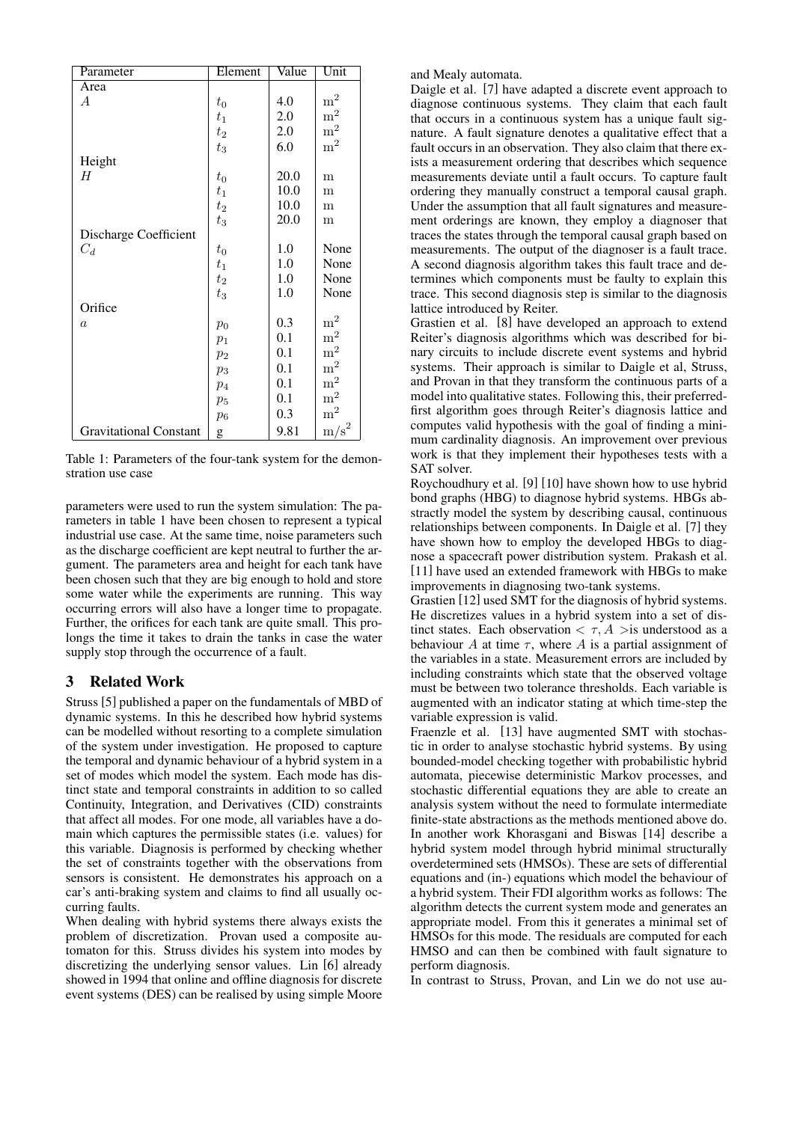| Parameter                     | Element        | Value | Unit           |
|-------------------------------|----------------|-------|----------------|
| Area                          |                |       |                |
| $\boldsymbol{A}$              | $t_{\rm 0}$    | 4.0   | m <sup>2</sup> |
|                               | $t_{1}$        | 2.0   | m <sup>2</sup> |
|                               | $t_2$          | 2.0   | m <sup>2</sup> |
|                               | $t_3$          | 6.0   | m <sup>2</sup> |
| Height                        |                |       |                |
| Н                             | $t_{0}$        | 20.0  | m              |
|                               | $t_1$          | 10.0  | m              |
|                               | $t_2$          | 10.0  | m              |
|                               | $t_3$          | 20.0  | m              |
| Discharge Coefficient         |                |       |                |
| $C_d$                         | $t_{\rm 0}$    | 1.0   | None           |
|                               | $t_1$          | 1.0   | None           |
|                               | $t_2$          | 1.0   | None           |
|                               | $t_3$          | 1.0   | None           |
| Orifice                       |                |       |                |
| $\alpha$                      | $p_0$          | 0.3   | m <sup>2</sup> |
|                               | $p_1$          | 0.1   | m <sup>2</sup> |
|                               | $p_2$          | 0.1   | m <sup>2</sup> |
|                               | $p_3$          | 0.1   | m <sup>2</sup> |
|                               | p <sub>4</sub> | 0.1   | $\mathrm{m}^2$ |
|                               | $p_5$          | 0.1   | m <sup>2</sup> |
|                               | $p_6$          | 0.3   | $\mathrm{m}^2$ |
| <b>Gravitational Constant</b> | g              | 9.81  | $\text{m/s}^2$ |

Table 1: Parameters of the four-tank system for the demonstration use case

parameters were used to run the system simulation: The parameters in table 1 have been chosen to represent a typical industrial use case. At the same time, noise parameters such as the discharge coefficient are kept neutral to further the argument. The parameters area and height for each tank have been chosen such that they are big enough to hold and store some water while the experiments are running. This way occurring errors will also have a longer time to propagate. Further, the orifices for each tank are quite small. This prolongs the time it takes to drain the tanks in case the water supply stop through the occurrence of a fault.

# 3 Related Work

Struss [5] published a paper on the fundamentals of MBD of dynamic systems. In this he described how hybrid systems can be modelled without resorting to a complete simulation of the system under investigation. He proposed to capture the temporal and dynamic behaviour of a hybrid system in a set of modes which model the system. Each mode has distinct state and temporal constraints in addition to so called Continuity, Integration, and Derivatives (CID) constraints that affect all modes. For one mode, all variables have a domain which captures the permissible states (i.e. values) for this variable. Diagnosis is performed by checking whether the set of constraints together with the observations from sensors is consistent. He demonstrates his approach on a car's anti-braking system and claims to find all usually occurring faults.

When dealing with hybrid systems there always exists the problem of discretization. Provan used a composite automaton for this. Struss divides his system into modes by discretizing the underlying sensor values. Lin [6] already showed in 1994 that online and offline diagnosis for discrete event systems (DES) can be realised by using simple Moore

and Mealy automata.

Daigle et al. [7] have adapted a discrete event approach to diagnose continuous systems. They claim that each fault that occurs in a continuous system has a unique fault signature. A fault signature denotes a qualitative effect that a fault occurs in an observation. They also claim that there exists a measurement ordering that describes which sequence measurements deviate until a fault occurs. To capture fault ordering they manually construct a temporal causal graph. Under the assumption that all fault signatures and measurement orderings are known, they employ a diagnoser that traces the states through the temporal causal graph based on measurements. The output of the diagnoser is a fault trace. A second diagnosis algorithm takes this fault trace and determines which components must be faulty to explain this trace. This second diagnosis step is similar to the diagnosis lattice introduced by Reiter.

Grastien et al. [8] have developed an approach to extend Reiter's diagnosis algorithms which was described for binary circuits to include discrete event systems and hybrid systems. Their approach is similar to Daigle et al, Struss, and Provan in that they transform the continuous parts of a model into qualitative states. Following this, their preferredfirst algorithm goes through Reiter's diagnosis lattice and computes valid hypothesis with the goal of finding a minimum cardinality diagnosis. An improvement over previous work is that they implement their hypotheses tests with a SAT solver.

Roychoudhury et al. [9] [10] have shown how to use hybrid bond graphs (HBG) to diagnose hybrid systems. HBGs abstractly model the system by describing causal, continuous relationships between components. In Daigle et al. [7] they have shown how to employ the developed HBGs to diagnose a spacecraft power distribution system. Prakash et al. [11] have used an extended framework with HBGs to make improvements in diagnosing two-tank systems.

Grastien [12] used SMT for the diagnosis of hybrid systems. He discretizes values in a hybrid system into a set of distinct states. Each observation  $\langle \tau, A \rangle$  is understood as a behaviour  $A$  at time  $\tau$ , where  $A$  is a partial assignment of the variables in a state. Measurement errors are included by including constraints which state that the observed voltage must be between two tolerance thresholds. Each variable is augmented with an indicator stating at which time-step the variable expression is valid.

Fraenzle et al. [13] have augmented SMT with stochastic in order to analyse stochastic hybrid systems. By using bounded-model checking together with probabilistic hybrid automata, piecewise deterministic Markov processes, and stochastic differential equations they are able to create an analysis system without the need to formulate intermediate finite-state abstractions as the methods mentioned above do. In another work Khorasgani and Biswas [14] describe a hybrid system model through hybrid minimal structurally overdetermined sets (HMSOs). These are sets of differential equations and (in-) equations which model the behaviour of a hybrid system. Their FDI algorithm works as follows: The algorithm detects the current system mode and generates an appropriate model. From this it generates a minimal set of HMSOs for this mode. The residuals are computed for each HMSO and can then be combined with fault signature to perform diagnosis.

In contrast to Struss, Provan, and Lin we do not use au-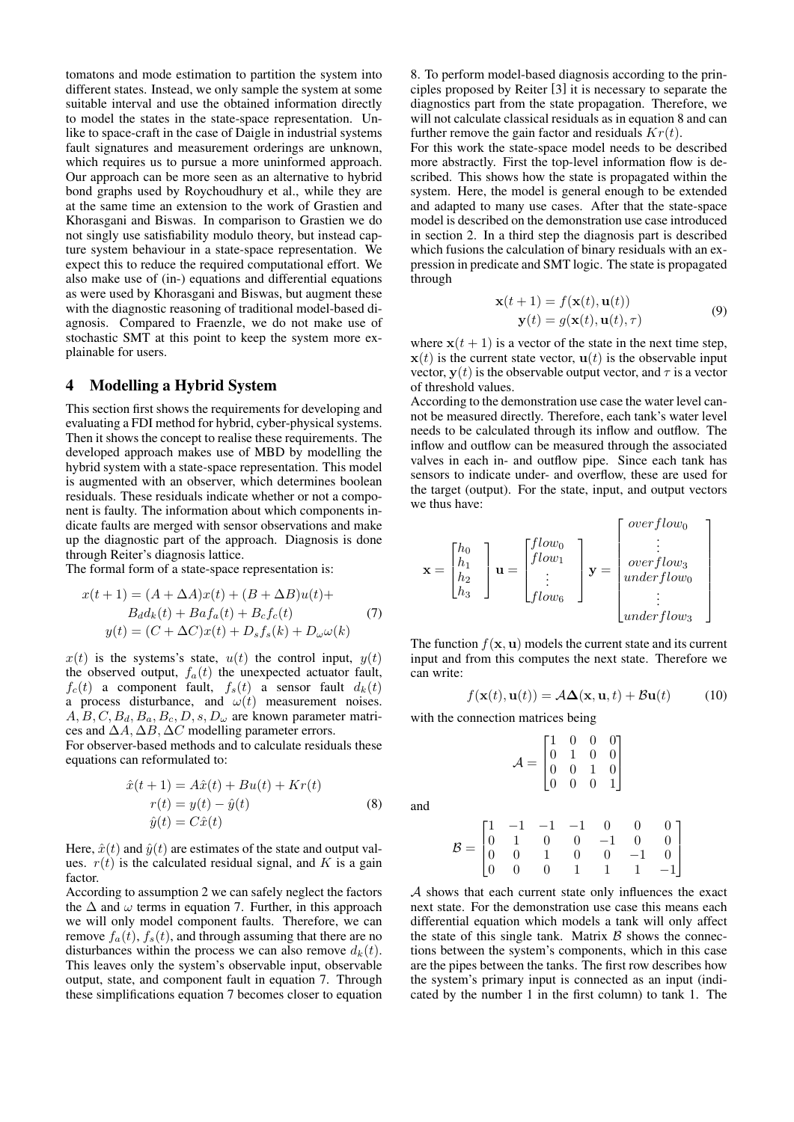tomatons and mode estimation to partition the system into different states. Instead, we only sample the system at some suitable interval and use the obtained information directly to model the states in the state-space representation. Unlike to space-craft in the case of Daigle in industrial systems fault signatures and measurement orderings are unknown, which requires us to pursue a more uninformed approach. Our approach can be more seen as an alternative to hybrid bond graphs used by Roychoudhury et al., while they are at the same time an extension to the work of Grastien and Khorasgani and Biswas. In comparison to Grastien we do not singly use satisfiability modulo theory, but instead capture system behaviour in a state-space representation. We expect this to reduce the required computational effort. We also make use of (in-) equations and differential equations as were used by Khorasgani and Biswas, but augment these with the diagnostic reasoning of traditional model-based diagnosis. Compared to Fraenzle, we do not make use of stochastic SMT at this point to keep the system more explainable for users.

# 4 Modelling a Hybrid System

This section first shows the requirements for developing and evaluating a FDI method for hybrid, cyber-physical systems. Then it shows the concept to realise these requirements. The developed approach makes use of MBD by modelling the hybrid system with a state-space representation. This model is augmented with an observer, which determines boolean residuals. These residuals indicate whether or not a component is faulty. The information about which components indicate faults are merged with sensor observations and make up the diagnostic part of the approach. Diagnosis is done through Reiter's diagnosis lattice.

The formal form of a state-space representation is:

$$
x(t+1) = (A + \Delta A)x(t) + (B + \Delta B)u(t) +
$$
  
\n
$$
B_d d_k(t) + Baf_a(t) + B_c f_c(t)
$$
  
\n
$$
y(t) = (C + \Delta C)x(t) + D_s f_s(k) + D_\omega \omega(k)
$$
\n(7)

 $x(t)$  is the systems's state,  $u(t)$  the control input,  $y(t)$ the observed output,  $f_a(t)$  the unexpected actuator fault,  $f_c(t)$  a component fault,  $f_s(t)$  a sensor fault  $d_k(t)$ a process disturbance, and  $\omega(t)$  measurement noises.  $A, B, C, B_d, B_a, B_c, D, s, D_\omega$  are known parameter matrices and ∆*A,* ∆*B,* ∆*C* modelling parameter errors.

For observer-based methods and to calculate residuals these equations can reformulated to:

$$
\begin{aligned}\n\hat{x}(t+1) &= A\hat{x}(t) + Bu(t) + Kr(t) \\
r(t) &= y(t) - \hat{y}(t) \\
\hat{y}(t) &= C\hat{x}(t)\n\end{aligned} \tag{8}
$$

Here,  $\hat{x}(t)$  and  $\hat{y}(t)$  are estimates of the state and output values.  $r(t)$  is the calculated residual signal, and *K* is a gain factor.

According to assumption 2 we can safely neglect the factors the  $\Delta$  and  $\omega$  terms in equation 7. Further, in this approach we will only model component faults. Therefore, we can remove  $f_a(t)$ ,  $f_s(t)$ , and through assuming that there are no disturbances within the process we can also remove  $d_k(t)$ . This leaves only the system's observable input, observable output, state, and component fault in equation 7. Through these simplifications equation 7 becomes closer to equation 8. To perform model-based diagnosis according to the principles proposed by Reiter [3] it is necessary to separate the diagnostics part from the state propagation. Therefore, we will not calculate classical residuals as in equation 8 and can further remove the gain factor and residuals *Kr*(*t*).

For this work the state-space model needs to be described more abstractly. First the top-level information flow is described. This shows how the state is propagated within the system. Here, the model is general enough to be extended and adapted to many use cases. After that the state-space model is described on the demonstration use case introduced in section 2. In a third step the diagnosis part is described which fusions the calculation of binary residuals with an expression in predicate and SMT logic. The state is propagated through

$$
\mathbf{x}(t+1) = f(\mathbf{x}(t), \mathbf{u}(t))
$$
  
\n
$$
\mathbf{y}(t) = g(\mathbf{x}(t), \mathbf{u}(t), \tau)
$$
\n(9)

where  $\mathbf{x}(t+1)$  is a vector of the state in the next time step,  $\mathbf{x}(t)$  is the current state vector,  $\mathbf{u}(t)$  is the observable input vector,  $y(t)$  is the observable output vector, and  $\tau$  is a vector of threshold values.

According to the demonstration use case the water level cannot be measured directly. Therefore, each tank's water level needs to be calculated through its inflow and outflow. The inflow and outflow can be measured through the associated valves in each in- and outflow pipe. Since each tank has sensors to indicate under- and overflow, these are used for the target (output). For the state, input, and output vectors we thus have:

$$
\mathbf{x} = \begin{bmatrix} h_0 \\ h_1 \\ h_2 \\ h_3 \end{bmatrix} \mathbf{u} = \begin{bmatrix} flow_0 \\ flow_1 \\ \vdots \\ flow_6 \end{bmatrix} \mathbf{y} = \begin{bmatrix} overflow_0 \\ \vdots \\ overflow_3 \\ underflow_0 \\ \vdots \\ underflow_3 \end{bmatrix}
$$

The function  $f(\mathbf{x}, \mathbf{u})$  models the current state and its current input and from this computes the next state. Therefore we can write:

$$
f(\mathbf{x}(t), \mathbf{u}(t)) = A\Delta(\mathbf{x}, \mathbf{u}, t) + B\mathbf{u}(t)
$$
 (10)

with the connection matrices being

$$
\mathcal{A} = \begin{bmatrix} 1 & 0 & 0 & 0 \\ 0 & 1 & 0 & 0 \\ 0 & 0 & 1 & 0 \\ 0 & 0 & 0 & 1 \end{bmatrix}
$$

and

$$
\mathcal{B} = \begin{bmatrix} 1 & -1 & -1 & -1 & 0 & 0 & 0 \\ 0 & 1 & 0 & 0 & -1 & 0 & 0 \\ 0 & 0 & 1 & 0 & 0 & -1 & 0 \\ 0 & 0 & 0 & 1 & 1 & 1 & -1 \end{bmatrix}
$$

*A* shows that each current state only influences the exact next state. For the demonstration use case this means each differential equation which models a tank will only affect the state of this single tank. Matrix  $\beta$  shows the connections between the system's components, which in this case are the pipes between the tanks. The first row describes how the system's primary input is connected as an input (indicated by the number 1 in the first column) to tank 1. The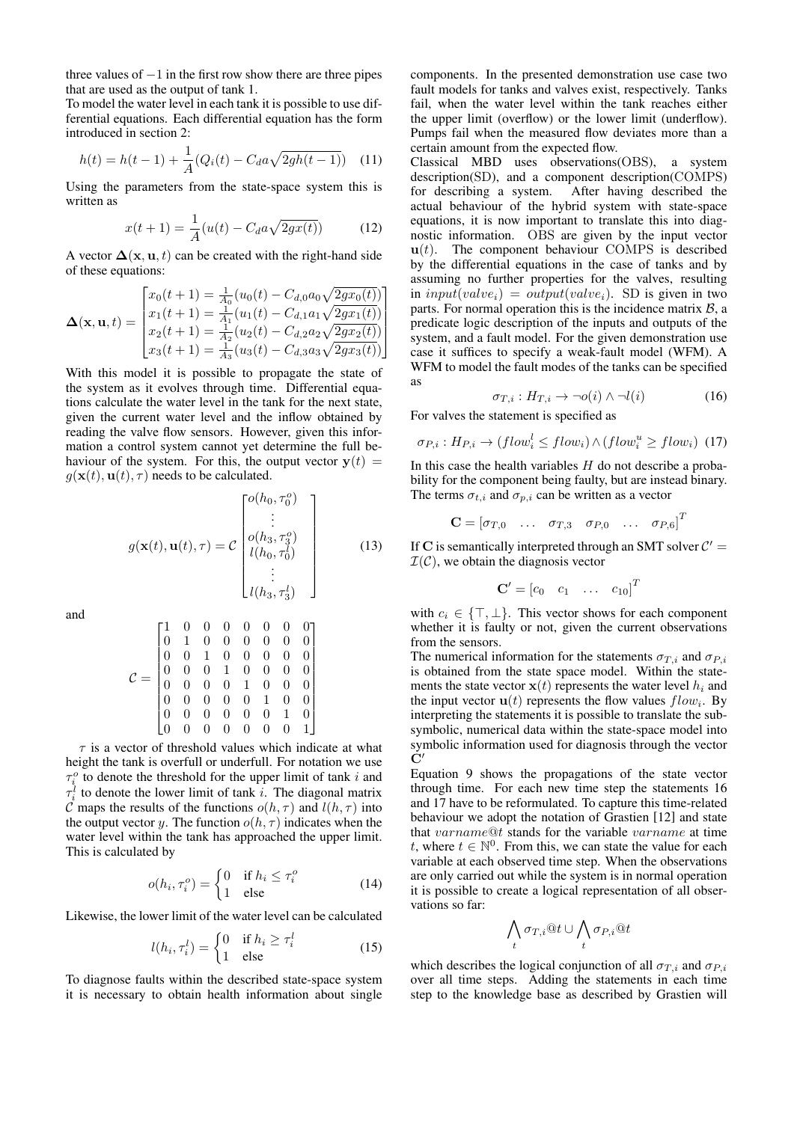three values of *−*1 in the first row show there are three pipes that are used as the output of tank 1.

To model the water level in each tank it is possible to use differential equations. Each differential equation has the form introduced in section 2:

$$
h(t) = h(t-1) + \frac{1}{A} (Q_i(t) - C_d a \sqrt{2gh(t-1)}) \quad (11)
$$

Using the parameters from the state-space system this is written as

$$
x(t+1) = \frac{1}{A}(u(t) - C_d a \sqrt{2gx(t)})
$$
 (12)

A vector  $\Delta(\mathbf{x}, \mathbf{u}, t)$  can be created with the right-hand side of these equations:

$$
\mathbf{\Delta}(\mathbf{x}, \mathbf{u}, t) = \begin{bmatrix} x_0(t+1) = \frac{1}{A_0}(u_0(t) - C_{d,0}a_0\sqrt{2gx_0(t)})\\ x_1(t+1) = \frac{1}{A_1}(u_1(t) - C_{d,1}a_1\sqrt{2gx_1(t)})\\ x_2(t+1) = \frac{1}{A_2}(u_2(t) - C_{d,2}a_2\sqrt{2gx_2(t)})\\ x_3(t+1) = \frac{1}{A_3}(u_3(t) - C_{d,3}a_3\sqrt{2gx_3(t)}) \end{bmatrix}
$$

With this model it is possible to propagate the state of the system as it evolves through time. Differential equations calculate the water level in the tank for the next state, given the current water level and the inflow obtained by reading the valve flow sensors. However, given this information a control system cannot yet determine the full behaviour of the system. For this, the output vector  $y(t) =$  $q(\mathbf{x}(t), \mathbf{u}(t), \tau)$  needs to be calculated.

$$
g(\mathbf{x}(t), \mathbf{u}(t), \tau) = C \begin{bmatrix} o(h_0, \tau_0^o) \\ \vdots \\ o(h_3, \tau_3^o) \\ l(h_0, \tau_0^l) \\ \vdots \\ l(h_3, \tau_3^l) \end{bmatrix}
$$
(13)

and

$$
\mathcal{C} = \begin{bmatrix} 1 & 0 & 0 & 0 & 0 & 0 & 0 & 0 \\ 0 & 1 & 0 & 0 & 0 & 0 & 0 & 0 \\ 0 & 0 & 1 & 0 & 0 & 0 & 0 & 0 \\ 0 & 0 & 0 & 1 & 0 & 0 & 0 & 0 \\ 0 & 0 & 0 & 0 & 1 & 0 & 0 & 0 \\ 0 & 0 & 0 & 0 & 0 & 1 & 0 & 0 \\ 0 & 0 & 0 & 0 & 0 & 0 & 1 & 0 \\ 0 & 0 & 0 & 0 & 0 & 0 & 0 & 1 \end{bmatrix}
$$

*τ* is a vector of threshold values which indicate at what height the tank is overfull or underfull. For notation we use  $\tau_i^o$  to denote the threshold for the upper limit of tank *i* and  $\tau_i^l$  to denote the lower limit of tank *i*. The diagonal matrix *C* maps the results of the functions  $o(h, \tau)$  and  $l(h, \tau)$  into the output vector *y*. The function  $o(h, \tau)$  indicates when the water level within the tank has approached the upper limit. This is calculated by

$$
o(h_i, \tau_i^o) = \begin{cases} 0 & \text{if } h_i \le \tau_i^o \\ 1 & \text{else} \end{cases}
$$
 (14)

Likewise, the lower limit of the water level can be calculated

$$
l(h_i, \tau_i^l) = \begin{cases} 0 & \text{if } h_i \ge \tau_i^l \\ 1 & \text{else} \end{cases}
$$
 (15)

To diagnose faults within the described state-space system it is necessary to obtain health information about single components. In the presented demonstration use case two fault models for tanks and valves exist, respectively. Tanks fail, when the water level within the tank reaches either the upper limit (overflow) or the lower limit (underflow). Pumps fail when the measured flow deviates more than a certain amount from the expected flow.

Classical MBD uses observations(OBS), a system description(SD), and a component description(COMPS) for describing a system. After having described the actual behaviour of the hybrid system with state-space equations, it is now important to translate this into diagnostic information. OBS are given by the input vector  $u(t)$ . The component behaviour COMPS is described by the differential equations in the case of tanks and by assuming no further properties for the valves, resulting in  $input(value_i) = output(value_i)$ . SD is given in two parts. For normal operation this is the incidence matrix *B*, a predicate logic description of the inputs and outputs of the system, and a fault model. For the given demonstration use case it suffices to specify a weak-fault model (WFM). A WFM to model the fault modes of the tanks can be specified as

$$
\sigma_{T,i}: H_{T,i} \to \neg o(i) \land \neg l(i) \tag{16}
$$

For valves the statement is specified as

$$
\sigma_{P,i}: H_{P,i} \to (flow_i^l \le flow_i) \land (flow_i^u \ge flow_i) \tag{17}
$$

In this case the health variables *H* do not describe a probability for the component being faulty, but are instead binary. The terms  $\sigma_{t,i}$  and  $\sigma_{p,i}$  can be written as a vector

$$
\mathbf{C} = [\sigma_{T,0} \quad \dots \quad \sigma_{T,3} \quad \sigma_{P,0} \quad \dots \quad \sigma_{P,6}]^T
$$

If C is semantically interpreted through an SMT solver  $C' =$  $I(\mathcal{C})$ , we obtain the diagnosis vector

$$
\mathbf{C}' = \begin{bmatrix} c_0 & c_1 & \dots & c_{10} \end{bmatrix}^T
$$

with *c<sup>i</sup> ∈ {⊤, ⊥}*. This vector shows for each component whether it is faulty or not, given the current observations from the sensors.

The numerical information for the statements  $\sigma_{T,i}$  and  $\sigma_{P,i}$ is obtained from the state space model. Within the statements the state vector  $\mathbf{x}(t)$  represents the water level  $h_i$  and the input vector  $\mathbf{u}(t)$  represents the flow values  $flow_i$ . By interpreting the statements it is possible to translate the subsymbolic, numerical data within the state-space model into symbolic information used for diagnosis through the vector **C***′*

Equation 9 shows the propagations of the state vector through time. For each new time step the statements 16 and 17 have to be reformulated. To capture this time-related behaviour we adopt the notation of Grastien [12] and state that *varname*@*t* stands for the variable *varname* at time *t*, where  $t \in \mathbb{N}^0$ . From this, we can state the value for each variable at each observed time step. When the observations are only carried out while the system is in normal operation it is possible to create a logical representation of all observations so far:

$$
\bigwedge_t \sigma_{T,i} @t \cup \bigwedge_t \sigma_{P,i} @t
$$

which describes the logical conjunction of all  $\sigma_{T,i}$  and  $\sigma_{P,i}$ over all time steps. Adding the statements in each time step to the knowledge base as described by Grastien will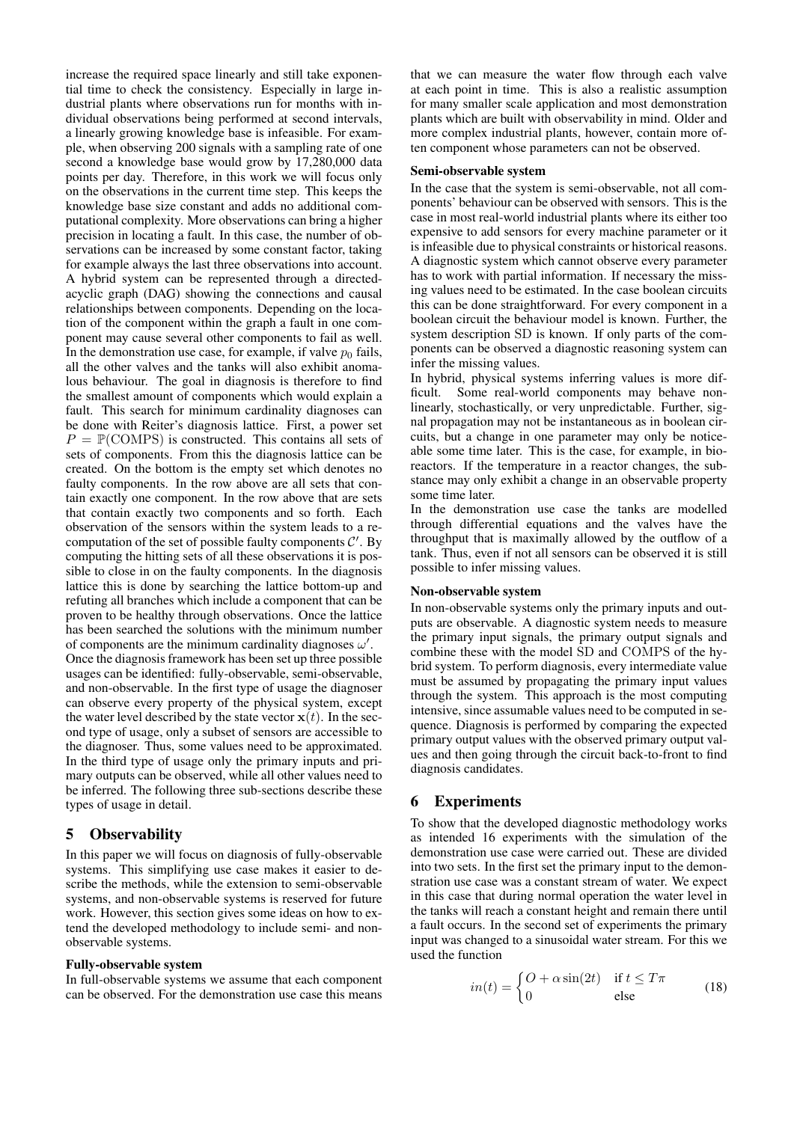increase the required space linearly and still take exponential time to check the consistency. Especially in large industrial plants where observations run for months with individual observations being performed at second intervals, a linearly growing knowledge base is infeasible. For example, when observing 200 signals with a sampling rate of one second a knowledge base would grow by 17,280,000 data points per day. Therefore, in this work we will focus only on the observations in the current time step. This keeps the knowledge base size constant and adds no additional computational complexity. More observations can bring a higher precision in locating a fault. In this case, the number of observations can be increased by some constant factor, taking for example always the last three observations into account. A hybrid system can be represented through a directedacyclic graph (DAG) showing the connections and causal relationships between components. Depending on the location of the component within the graph a fault in one component may cause several other components to fail as well. In the demonstration use case, for example, if valve  $p_0$  fails, all the other valves and the tanks will also exhibit anomalous behaviour. The goal in diagnosis is therefore to find the smallest amount of components which would explain a fault. This search for minimum cardinality diagnoses can be done with Reiter's diagnosis lattice. First, a power set  $P = \mathbb{P}(\text{COMPS})$  is constructed. This contains all sets of sets of components. From this the diagnosis lattice can be created. On the bottom is the empty set which denotes no faulty components. In the row above are all sets that contain exactly one component. In the row above that are sets that contain exactly two components and so forth. Each observation of the sensors within the system leads to a recomputation of the set of possible faulty components *C ′* . By computing the hitting sets of all these observations it is possible to close in on the faulty components. In the diagnosis lattice this is done by searching the lattice bottom-up and refuting all branches which include a component that can be proven to be healthy through observations. Once the lattice has been searched the solutions with the minimum number of components are the minimum cardinality diagnoses *ω ′* .

Once the diagnosis framework has been set up three possible usages can be identified: fully-observable, semi-observable, and non-observable. In the first type of usage the diagnoser can observe every property of the physical system, except the water level described by the state vector  $\mathbf{x}(t)$ . In the second type of usage, only a subset of sensors are accessible to the diagnoser. Thus, some values need to be approximated. In the third type of usage only the primary inputs and primary outputs can be observed, while all other values need to be inferred. The following three sub-sections describe these types of usage in detail.

### 5 Observability

In this paper we will focus on diagnosis of fully-observable systems. This simplifying use case makes it easier to describe the methods, while the extension to semi-observable systems, and non-observable systems is reserved for future work. However, this section gives some ideas on how to extend the developed methodology to include semi- and nonobservable systems.

#### Fully-observable system

In full-observable systems we assume that each component can be observed. For the demonstration use case this means

that we can measure the water flow through each valve at each point in time. This is also a realistic assumption for many smaller scale application and most demonstration plants which are built with observability in mind. Older and more complex industrial plants, however, contain more often component whose parameters can not be observed.

#### Semi-observable system

In the case that the system is semi-observable, not all components' behaviour can be observed with sensors. This is the case in most real-world industrial plants where its either too expensive to add sensors for every machine parameter or it is infeasible due to physical constraints or historical reasons. A diagnostic system which cannot observe every parameter has to work with partial information. If necessary the missing values need to be estimated. In the case boolean circuits this can be done straightforward. For every component in a boolean circuit the behaviour model is known. Further, the system description SD is known. If only parts of the components can be observed a diagnostic reasoning system can infer the missing values.

In hybrid, physical systems inferring values is more difficult. Some real-world components may behave nonlinearly, stochastically, or very unpredictable. Further, signal propagation may not be instantaneous as in boolean circuits, but a change in one parameter may only be noticeable some time later. This is the case, for example, in bioreactors. If the temperature in a reactor changes, the substance may only exhibit a change in an observable property some time later.

In the demonstration use case the tanks are modelled through differential equations and the valves have the throughput that is maximally allowed by the outflow of a tank. Thus, even if not all sensors can be observed it is still possible to infer missing values.

#### Non-observable system

In non-observable systems only the primary inputs and outputs are observable. A diagnostic system needs to measure the primary input signals, the primary output signals and combine these with the model SD and COMPS of the hybrid system. To perform diagnosis, every intermediate value must be assumed by propagating the primary input values through the system. This approach is the most computing intensive, since assumable values need to be computed in sequence. Diagnosis is performed by comparing the expected primary output values with the observed primary output values and then going through the circuit back-to-front to find diagnosis candidates.

### 6 Experiments

To show that the developed diagnostic methodology works as intended 16 experiments with the simulation of the demonstration use case were carried out. These are divided into two sets. In the first set the primary input to the demonstration use case was a constant stream of water. We expect in this case that during normal operation the water level in the tanks will reach a constant height and remain there until a fault occurs. In the second set of experiments the primary input was changed to a sinusoidal water stream. For this we used the function

$$
in(t) = \begin{cases} O + \alpha \sin(2t) & \text{if } t \le T\pi \\ 0 & \text{else} \end{cases}
$$
 (18)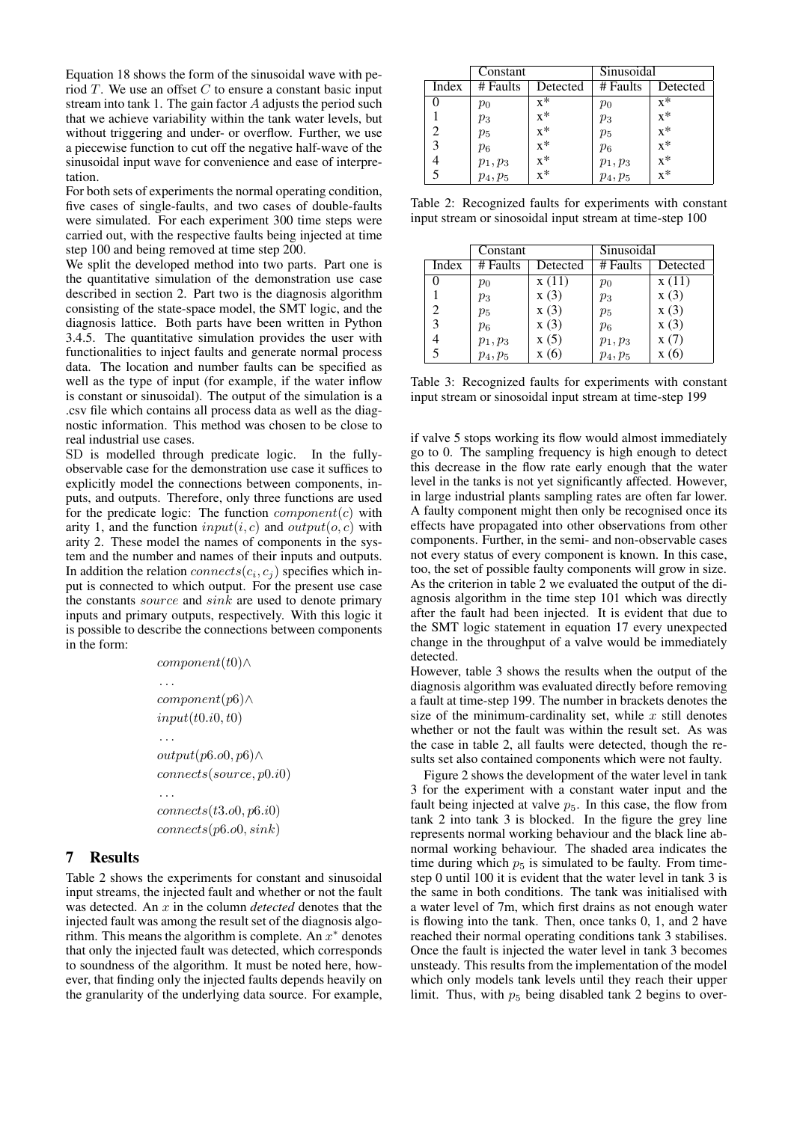Equation 18 shows the form of the sinusoidal wave with period *T*. We use an offset *C* to ensure a constant basic input stream into tank 1. The gain factor *A* adjusts the period such that we achieve variability within the tank water levels, but without triggering and under- or overflow. Further, we use a piecewise function to cut off the negative half-wave of the sinusoidal input wave for convenience and ease of interpretation.

For both sets of experiments the normal operating condition, five cases of single-faults, and two cases of double-faults were simulated. For each experiment 300 time steps were carried out, with the respective faults being injected at time step 100 and being removed at time step 200.

We split the developed method into two parts. Part one is the quantitative simulation of the demonstration use case described in section 2. Part two is the diagnosis algorithm consisting of the state-space model, the SMT logic, and the diagnosis lattice. Both parts have been written in Python 3.4.5. The quantitative simulation provides the user with functionalities to inject faults and generate normal process data. The location and number faults can be specified as well as the type of input (for example, if the water inflow is constant or sinusoidal). The output of the simulation is a .csv file which contains all process data as well as the diagnostic information. This method was chosen to be close to real industrial use cases.

SD is modelled through predicate logic. In the fullyobservable case for the demonstration use case it suffices to explicitly model the connections between components, inputs, and outputs. Therefore, only three functions are used for the predicate logic: The function *component*(*c*) with arity 1, and the function  $input(i, c)$  and  $output(o, c)$  with arity 2. These model the names of components in the system and the number and names of their inputs and outputs. In addition the relation *connects*( $c_i$ ,  $c_j$ ) specifies which input is connected to which output. For the present use case the constants *source* and *sink* are used to denote primary inputs and primary outputs, respectively. With this logic it is possible to describe the connections between components in the form:

$$
component(t0)\land
$$
  
\n...  
\n
$$
component(p6)\land
$$
  
\n
$$
input(t0.i0, t0)
$$
  
\n...  
\n
$$
output(p6.o0, p6)\land
$$
  
\n
$$
connects(source, p0.i0)
$$
  
\n...  
\n
$$
connects(t3.o0, p6.i0)
$$
  
\n
$$
connects(p6.o0, sink)
$$

# 7 Results

Table 2 shows the experiments for constant and sinusoidal input streams, the injected fault and whether or not the fault was detected. An *x* in the column *detected* denotes that the injected fault was among the result set of the diagnosis algorithm. This means the algorithm is complete. An *x <sup>∗</sup>* denotes that only the injected fault was detected, which corresponds to soundness of the algorithm. It must be noted here, however, that finding only the injected faults depends heavily on the granularity of the underlying data source. For example,

|       | Constant   |                  | Sinusoidal |                  |
|-------|------------|------------------|------------|------------------|
| Index | # Faults   | Detected         | # Faults   | Detected         |
|       | $p_0$      | $x^*$            | $p_0$      | $x^*$            |
|       | $p_3$      | $X^*$            | $p_3$      | $x^*$            |
|       | $p_5$      | $x^*$            | $p_5$      | $\bar{x}^*$      |
| 3     | $p_6$      | $x^*$            | $p_6$      | $\overline{x}^*$ |
|       | $p_1, p_3$ | $x^*$            | $p_1, p_3$ | $x^*$            |
|       | $p_4, p_5$ | $\overline{x}^*$ | $p_4, p_5$ | $\overline{x}^*$ |

Table 2: Recognized faults for experiments with constant input stream or sinosoidal input stream at time-step 100

|       | Constant   |          | Sinusoidal |          |
|-------|------------|----------|------------|----------|
| Index | # Faults   | Detected | # Faults   | Detected |
|       | $p_0$      | x(11)    | $p_0$      | x(11)    |
|       | $p_3$      | x(3)     | $p_3$      | x(3)     |
| 2     | $p_5$      | x(3)     | $p_5$      | x(3)     |
|       | $p_6$      | x(3)     | $p_6$      | x(3)     |
|       | $p_1, p_3$ | x(5)     | $p_1, p_3$ | x(7)     |
|       | $p_4, p_5$ | (6)      | $p_4, p_5$ |          |

Table 3: Recognized faults for experiments with constant input stream or sinosoidal input stream at time-step 199

if valve 5 stops working its flow would almost immediately go to 0. The sampling frequency is high enough to detect this decrease in the flow rate early enough that the water level in the tanks is not yet significantly affected. However, in large industrial plants sampling rates are often far lower. A faulty component might then only be recognised once its effects have propagated into other observations from other components. Further, in the semi- and non-observable cases not every status of every component is known. In this case, too, the set of possible faulty components will grow in size. As the criterion in table 2 we evaluated the output of the diagnosis algorithm in the time step 101 which was directly after the fault had been injected. It is evident that due to the SMT logic statement in equation 17 every unexpected change in the throughput of a valve would be immediately detected.

However, table 3 shows the results when the output of the diagnosis algorithm was evaluated directly before removing a fault at time-step 199. The number in brackets denotes the size of the minimum-cardinality set, while *x* still denotes whether or not the fault was within the result set. As was the case in table 2, all faults were detected, though the results set also contained components which were not faulty.

Figure 2 shows the development of the water level in tank 3 for the experiment with a constant water input and the fault being injected at valve  $p_5$ . In this case, the flow from tank 2 into tank 3 is blocked. In the figure the grey line represents normal working behaviour and the black line abnormal working behaviour. The shaded area indicates the time during which  $p_5$  is simulated to be faulty. From timestep 0 until 100 it is evident that the water level in tank 3 is the same in both conditions. The tank was initialised with a water level of 7m, which first drains as not enough water is flowing into the tank. Then, once tanks 0, 1, and 2 have reached their normal operating conditions tank 3 stabilises. Once the fault is injected the water level in tank 3 becomes unsteady. This results from the implementation of the model which only models tank levels until they reach their upper limit. Thus, with  $p<sub>5</sub>$  being disabled tank 2 begins to over-